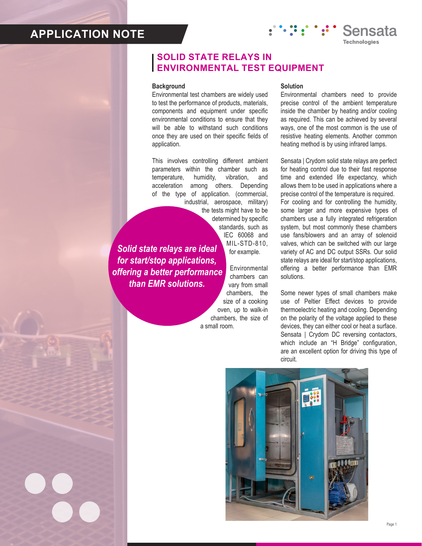# **APPLICATION NOTE**

### **SOLID STATE RELAYS IN ENVIRONMENTAL TEST EQUIPMENT**

#### **Background**

Environmental test chambers are widely used to test the performance of products, materials, components and equipment under specific environmental conditions to ensure that they will be able to withstand such conditions once they are used on their specific fields of application.

This involves controlling different ambient parameters within the chamber such as temperature, humidity, vibration, and acceleration among others. Depending of the type of application. (commercial, industrial, aerospace, military) the tests might have to be determined by specific standards, such as

*Solid state relays are ideal for start/stop applications, offering a better performance than EMR solutions.*

Environmental chambers can vary from small chambers, the size of a cooking oven, up to walk-in chambers, the size of a small room.

IEC 60068 and MIL-STD-810, for example.

### **Solution**

Environmental chambers need to provide precise control of the ambient temperature inside the chamber by heating and/or cooling as required. This can be achieved by several ways, one of the most common is the use of resistive heating elements. Another common heating method is by using infrared lamps.

Sensata

Sensata | Crydom solid state relays are perfect for heating control due to their fast response time and extended life expectancy, which allows them to be used in applications where a precise control of the temperature is required. For cooling and for controlling the humidity, some larger and more expensive types of chambers use a fully integrated refrigeration system, but most commonly these chambers use fans/blowers and an array of solenoid valves, which can be switched with our large variety of AC and DC output SSRs. Our solid state relays are ideal for start/stop applications, offering a better performance than EMR solutions.

Some newer types of small chambers make use of Peltier Effect devices to provide thermoelectric heating and cooling. Depending on the polarity of the voltage applied to these devices, they can either cool or heat a surface. Sensata | Crydom DC reversing contactors, which include an "H Bridge" configuration, are an excellent option for driving this type of circuit.